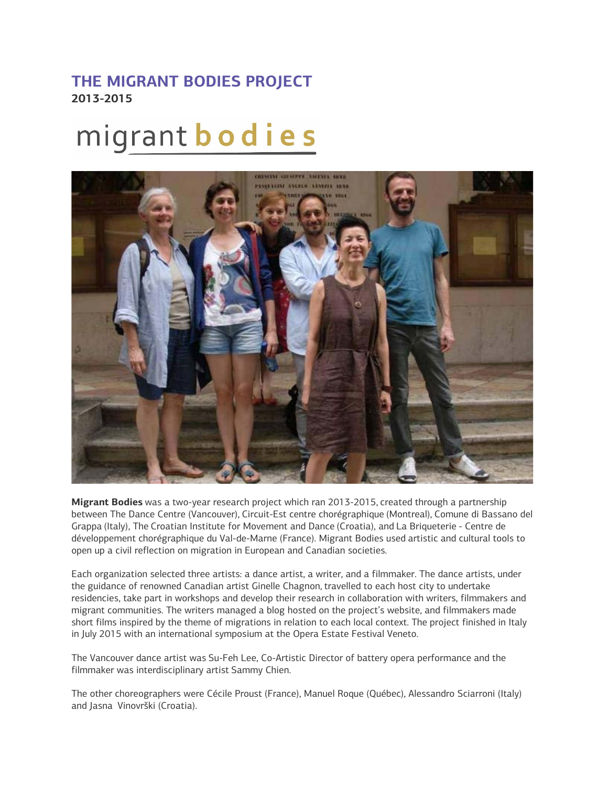## **THE MIGRANT BODIES PROJECT 2013-2015**

## migrant **bodies**



**Migrant Bodies** was a two-year research project which ran 2013-2015, created through a partnership between The Dance Centre (Vancouver), Circuit-Est centre chorégraphique (Montreal), Comune di Bassano del Grappa (Italy), The Croatian Institute for Movement and Dance (Croatia), and La Briqueterie - Centre de développement chorégraphique du Val-de-Marne (France). Migrant Bodies used artistic and cultural tools to open up a civil reflection on migration in European and Canadian societies.

Each organization selected three artists: a dance artist, a writer, and a filmmaker. The dance artists, under the guidance of renowned Canadian artist Ginelle Chagnon, travelled to each host city to undertake residencies, take part in workshops and develop their research in collaboration with writers, filmmakers and migrant communities. The writers managed a blog hosted on the project's website, and filmmakers made short films inspired by the theme of migrations in relation to each local context. The project finished in Italy in July 2015 with an international symposium at the Opera Estate Festival Veneto.

The Vancouver dance artist was Su-Feh Lee, Co-Artistic Director of battery opera performance and the filmmaker was interdisciplinary artist Sammy Chien.

The other choreographers were Cécile Proust (France), Manuel Roque (Québec), Alessandro Sciarroni (Italy) and Jasna Vinovrški (Croatia).